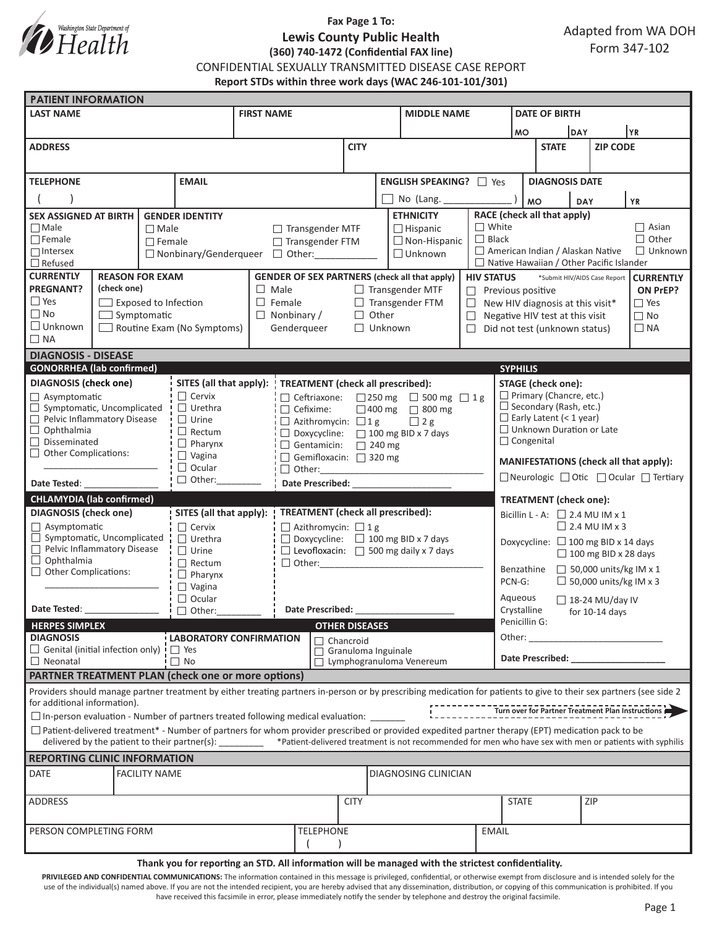

# **Fax Page 1 To: Lewis County Public Health (360) 740-1472 (Confidential FAX line)**

Adapted from WA DOH Form 347-102

CONFIDENTIAL SEXUALLY TRANSMITTED DISEASE CASE REPORT

**Report STDs within three work days (WAC 246-101-101/301)**

| <b>PATIENT INFORMATION</b>                                                                                                                                                                                                                                                                                                |                                                                           |                |                                                                             |                                                               |                                                                                                        |                            |  |                |                               |                                                                          |                                                              |                                                  |                 |                                       |  |  |
|---------------------------------------------------------------------------------------------------------------------------------------------------------------------------------------------------------------------------------------------------------------------------------------------------------------------------|---------------------------------------------------------------------------|----------------|-----------------------------------------------------------------------------|---------------------------------------------------------------|--------------------------------------------------------------------------------------------------------|----------------------------|--|----------------|-------------------------------|--------------------------------------------------------------------------|--------------------------------------------------------------|--------------------------------------------------|-----------------|---------------------------------------|--|--|
| <b>LAST NAME</b>                                                                                                                                                                                                                                                                                                          |                                                                           |                |                                                                             | <b>FIRST NAME</b>                                             |                                                                                                        |                            |  |                | <b>MIDDLE NAME</b>            |                                                                          |                                                              | <b>DATE OF BIRTH</b>                             |                 |                                       |  |  |
|                                                                                                                                                                                                                                                                                                                           |                                                                           |                |                                                                             |                                                               |                                                                                                        |                            |  |                |                               |                                                                          | <b>DAY</b><br><b>MO</b>                                      |                                                  |                 | YR                                    |  |  |
| <b>ADDRESS</b>                                                                                                                                                                                                                                                                                                            |                                                                           |                |                                                                             |                                                               |                                                                                                        | <b>CITY</b>                |  |                |                               |                                                                          | <b>STATE</b>                                                 |                                                  | <b>ZIP CODE</b> |                                       |  |  |
|                                                                                                                                                                                                                                                                                                                           |                                                                           |                |                                                                             |                                                               |                                                                                                        |                            |  |                |                               |                                                                          |                                                              |                                                  |                 |                                       |  |  |
| <b>TELEPHONE</b><br><b>EMAIL</b>                                                                                                                                                                                                                                                                                          |                                                                           |                |                                                                             | <b>ENGLISH SPEAKING?</b> □ Yes                                |                                                                                                        |                            |  |                |                               | <b>DIAGNOSIS DATE</b>                                                    |                                                              |                                                  |                 |                                       |  |  |
|                                                                                                                                                                                                                                                                                                                           |                                                                           |                |                                                                             |                                                               |                                                                                                        |                            |  |                |                               |                                                                          |                                                              |                                                  |                 |                                       |  |  |
|                                                                                                                                                                                                                                                                                                                           |                                                                           |                | No (Lang.                                                                   |                                                               |                                                                                                        |                            |  |                | <b>MO</b><br><b>YR</b><br>DAY |                                                                          |                                                              |                                                  |                 |                                       |  |  |
| <b>SEX ASSIGNED AT BIRTH</b><br><b>GENDER IDENTITY</b><br>$\Box$ Male<br>$\Box$ Male                                                                                                                                                                                                                                      |                                                                           |                |                                                                             | <b>ETHNICITY</b><br>$\Box$ Transgender MTF<br>$\Box$ Hispanic |                                                                                                        |                            |  |                |                               |                                                                          | RACE (check all that apply)<br>$\Box$ White<br>$\Box$ Asian  |                                                  |                 |                                       |  |  |
| $\Box$ Female                                                                                                                                                                                                                                                                                                             |                                                                           | $\Box$ Female  |                                                                             |                                                               | □ Transgender FTM                                                                                      |                            |  |                | $\Box$ Non-Hispanic           |                                                                          | $\Box$ Other<br>$\Box$ Black                                 |                                                  |                 |                                       |  |  |
| $\Box$ Intersex                                                                                                                                                                                                                                                                                                           |                                                                           |                |                                                                             | $\Box$ Unknown<br>□ Nonbinary/Genderqueer □ Other:            |                                                                                                        |                            |  |                |                               |                                                                          | American Indian / Alaskan Native<br>$\Box$ Unknown           |                                                  |                 |                                       |  |  |
| $\Box$ Refused                                                                                                                                                                                                                                                                                                            |                                                                           |                |                                                                             |                                                               |                                                                                                        |                            |  |                |                               |                                                                          | $\Box$ Native Hawaiian / Other Pacific Islander              |                                                  |                 |                                       |  |  |
| <b>CURRENTLY</b><br><b>REASON FOR EXAM</b>                                                                                                                                                                                                                                                                                |                                                                           |                |                                                                             |                                                               | <b>GENDER OF SEX PARTNERS (check all that apply)</b><br><b>HIV STATUS</b>                              |                            |  |                |                               |                                                                          |                                                              | *Submit HIV/AIDS Case Report<br><b>CURRENTLY</b> |                 |                                       |  |  |
| <b>PREGNANT?</b>                                                                                                                                                                                                                                                                                                          | (check one)                                                               |                |                                                                             | $\Box$ Male<br>$\Box$ Transgender MTF                         |                                                                                                        |                            |  |                |                               |                                                                          | $\Box$ Previous positive<br>ON PrEP?                         |                                                  |                 |                                       |  |  |
| $\Box$ Yes                                                                                                                                                                                                                                                                                                                | $\Box$ Exposed to Infection                                               |                |                                                                             | $\Box$ Female<br>$\Box$ Transgender FTM                       |                                                                                                        |                            |  |                |                               |                                                                          | $\Box$ Yes<br>$\Box$ New HIV diagnosis at this visit*        |                                                  |                 |                                       |  |  |
| $\Box$ No                                                                                                                                                                                                                                                                                                                 | $\Box$ Symptomatic<br>$\Box$ Unknown<br>$\Box$ Routine Exam (No Symptoms) |                |                                                                             | $\Box$ Nonbinary /<br>$\Box$ Other<br>$\Box$                  |                                                                                                        |                            |  |                |                               |                                                                          | $\Box$ No<br>Negative HIV test at this visit                 |                                                  |                 |                                       |  |  |
| $\Box$ NA                                                                                                                                                                                                                                                                                                                 |                                                                           |                | Genderqueer                                                                 |                                                               |                                                                                                        |                            |  | $\Box$ Unknown |                               |                                                                          | $\Box$ Did not test (unknown status)<br>$\Box$ NA            |                                                  |                 |                                       |  |  |
| <b>DIAGNOSIS - DISEASE</b>                                                                                                                                                                                                                                                                                                |                                                                           |                |                                                                             |                                                               |                                                                                                        |                            |  |                |                               |                                                                          |                                                              |                                                  |                 |                                       |  |  |
| <b>GONORRHEA</b> (lab confirmed)                                                                                                                                                                                                                                                                                          |                                                                           |                |                                                                             |                                                               |                                                                                                        |                            |  |                |                               |                                                                          | <b>SYPHILIS</b>                                              |                                                  |                 |                                       |  |  |
| <b>DIAGNOSIS</b> (check one)<br>SITES (all that apply):                                                                                                                                                                                                                                                                   |                                                                           |                |                                                                             |                                                               |                                                                                                        |                            |  |                |                               |                                                                          | <b>STAGE</b> (check one):                                    |                                                  |                 |                                       |  |  |
| $\Box$ Asymptomatic                                                                                                                                                                                                                                                                                                       |                                                                           |                | $\Box$ Cervix                                                               |                                                               | <b>TREATMENT</b> (check all prescribed):<br>$\Box$ Ceftriaxone: $\Box$ 250 mg $\Box$ 500 mg $\Box$ 1 g |                            |  |                |                               | $\Box$ Primary (Chancre, etc.)                                           |                                                              |                                                  |                 |                                       |  |  |
| $\Box$ Symptomatic, Uncomplicated                                                                                                                                                                                                                                                                                         |                                                                           |                | $\Box$ Urethra                                                              | $\Box$ Cefixime:<br>□ 400 mg □ 800 mg                         |                                                                                                        |                            |  |                |                               |                                                                          |                                                              | $\Box$ Secondary (Rash, etc.)                    |                 |                                       |  |  |
| Pelvic Inflammatory Disease                                                                                                                                                                                                                                                                                               |                                                                           |                | $\Box$ Urine<br>$\Box$ Azithromycin: $\Box$ 1 g<br>$\Box$ 2 g               |                                                               |                                                                                                        |                            |  |                |                               |                                                                          |                                                              | $\Box$ Early Latent (< 1 year)                   |                 |                                       |  |  |
| $\Box$ Ophthalmia                                                                                                                                                                                                                                                                                                         |                                                                           |                | $\Box$ Rectum<br>$\Box$ Doxycycline: $\Box$ 100 mg BID x 7 days             |                                                               |                                                                                                        |                            |  |                |                               |                                                                          | $\Box$ Unknown Duration or Late<br>□ Congenital              |                                                  |                 |                                       |  |  |
| $\Box$ Disseminated<br>$\Box$ Other Complications:                                                                                                                                                                                                                                                                        |                                                                           |                | $\Box$ Pharynx                                                              | $\Box$ Gentamicin: $\Box$ 240 mg                              |                                                                                                        |                            |  |                |                               |                                                                          |                                                              |                                                  |                 |                                       |  |  |
|                                                                                                                                                                                                                                                                                                                           |                                                                           |                | $\Box$ Vagina<br>Gemifloxacin: 320 mg<br>$\Box$ Ocular                      |                                                               |                                                                                                        |                            |  |                |                               |                                                                          | MANIFESTATIONS (check all that apply):                       |                                                  |                 |                                       |  |  |
| $\Box$ Other:<br>Date Tested:                                                                                                                                                                                                                                                                                             |                                                                           |                | Date Prescribed: National Prescribed:                                       |                                                               |                                                                                                        |                            |  |                |                               | $\Box$ Neurologic $\Box$ Otic $\Box$ Ocular $\Box$ Tertiary              |                                                              |                                                  |                 |                                       |  |  |
|                                                                                                                                                                                                                                                                                                                           |                                                                           |                |                                                                             |                                                               |                                                                                                        |                            |  |                |                               |                                                                          |                                                              |                                                  |                 |                                       |  |  |
| <b>CHLAMYDIA (lab confirmed)</b><br><b>DIAGNOSIS</b> (check one)                                                                                                                                                                                                                                                          |                                                                           |                | <b>TREATMENT</b> (check all prescribed):                                    |                                                               |                                                                                                        |                            |  |                |                               | <b>TREATMENT</b> (check one):                                            |                                                              |                                                  |                 |                                       |  |  |
| $\Box$ Asymptomatic                                                                                                                                                                                                                                                                                                       |                                                                           |                | SITES (all that apply):<br>$\Box$ Cervix<br>$\Box$ Azithromycin: $\Box$ 1 g |                                                               |                                                                                                        |                            |  |                |                               |                                                                          | Bicillin L - A: $\Box$ 2.4 MU IM x 1<br>$\Box$ 2.4 MU IM x 3 |                                                  |                 |                                       |  |  |
| $\Box$ Symptomatic, Uncomplicated                                                                                                                                                                                                                                                                                         |                                                                           |                | $\Box$ Urethra                                                              |                                                               | $\Box$ Doxycycline: $\Box$ 100 mg BID x 7 days                                                         |                            |  |                |                               | Doxycycline: □ 100 mg BID x 14 days                                      |                                                              |                                                  |                 |                                       |  |  |
| Pelvic Inflammatory Disease                                                                                                                                                                                                                                                                                               |                                                                           |                | $\Box$ Urine                                                                |                                                               | $\Box$ Levofloxacin: $\Box$ 500 mg daily x 7 days                                                      |                            |  |                |                               |                                                                          | $\Box$ 100 mg BID x 28 days                                  |                                                  |                 |                                       |  |  |
| $\Box$ Ophthalmia<br>$\Box$ Other Complications:                                                                                                                                                                                                                                                                          |                                                                           |                | $\Box$ Rectum                                                               |                                                               |                                                                                                        |                            |  |                |                               | Benzathine                                                               |                                                              |                                                  |                 |                                       |  |  |
|                                                                                                                                                                                                                                                                                                                           |                                                                           | $\Box$ Pharynx |                                                                             |                                                               |                                                                                                        |                            |  |                |                               | $\Box$ 50,000 units/kg IM x 1<br>$\Box$ 50,000 units/kg IM x 3<br>PCN-G: |                                                              |                                                  |                 |                                       |  |  |
|                                                                                                                                                                                                                                                                                                                           |                                                                           |                | $\Box$ Vagina<br>$\Box$ Ocular                                              |                                                               |                                                                                                        |                            |  |                |                               |                                                                          | Aqueous                                                      |                                                  |                 |                                       |  |  |
| Date Tested:<br>$\Box$ Other:                                                                                                                                                                                                                                                                                             |                                                                           |                |                                                                             | Date Prescribed:                                              |                                                                                                        |                            |  |                |                               |                                                                          | $\Box$ 18-24 MU/day IV<br>Crystalline<br>for $10-14$ days    |                                                  |                 |                                       |  |  |
| <b>HERPES SIMPLEX</b>                                                                                                                                                                                                                                                                                                     |                                                                           |                |                                                                             | <b>OTHER DISEASES</b>                                         |                                                                                                        |                            |  |                |                               |                                                                          | Penicillin G:                                                |                                                  |                 |                                       |  |  |
| <b>DIAGNOSIS</b><br><b>LABORATORY CONFIRMATION</b>                                                                                                                                                                                                                                                                        |                                                                           |                |                                                                             | Chancroid                                                     |                                                                                                        |                            |  |                |                               |                                                                          | Other:                                                       |                                                  |                 | <u> 1990 - Johann Barbara, martxa</u> |  |  |
| $\Box$ Genital (initial infection only) $\vdash$ $\Box$ Yes                                                                                                                                                                                                                                                               |                                                                           |                |                                                                             |                                                               |                                                                                                        | $\Box$ Granuloma Inguinale |  |                |                               |                                                                          |                                                              |                                                  |                 |                                       |  |  |
| $\Box$ Neonatal                                                                                                                                                                                                                                                                                                           |                                                                           |                | $\Box$ No                                                                   |                                                               |                                                                                                        | Lymphogranuloma Venereum   |  |                |                               | Date Prescribed: Note that the prescribed:                               |                                                              |                                                  |                 |                                       |  |  |
| PARTNER TREATMENT PLAN (check one or more options)                                                                                                                                                                                                                                                                        |                                                                           |                |                                                                             |                                                               |                                                                                                        |                            |  |                |                               |                                                                          |                                                              |                                                  |                 |                                       |  |  |
| Providers should manage partner treatment by either treating partners in-person or by prescribing medication for patients to give to their sex partners (see side 2<br>for additional information).<br>Turn over for Partner Treatment Plan Instructions                                                                  |                                                                           |                |                                                                             |                                                               |                                                                                                        |                            |  |                |                               |                                                                          |                                                              |                                                  |                 |                                       |  |  |
| $\square$ In-person evaluation - Number of partners treated following medical evaluation:                                                                                                                                                                                                                                 |                                                                           |                |                                                                             |                                                               |                                                                                                        |                            |  |                |                               |                                                                          |                                                              |                                                  |                 |                                       |  |  |
| $\Box$ Patient-delivered treatment* - Number of partners for whom provider prescribed or provided expedited partner therapy (EPT) medication pack to be<br>delivered by the patient to their partner(s): ________ *Patient-delivered treatment is not recommended for men who have sex with men or patients with syphilis |                                                                           |                |                                                                             |                                                               |                                                                                                        |                            |  |                |                               |                                                                          |                                                              |                                                  |                 |                                       |  |  |
| <b>REPORTING CLINIC INFORMATION</b>                                                                                                                                                                                                                                                                                       |                                                                           |                |                                                                             |                                                               |                                                                                                        |                            |  |                |                               |                                                                          |                                                              |                                                  |                 |                                       |  |  |
| DATE<br><b>FACILITY NAME</b><br>DIAGNOSING CLINICIAN                                                                                                                                                                                                                                                                      |                                                                           |                |                                                                             |                                                               |                                                                                                        |                            |  |                |                               |                                                                          |                                                              |                                                  |                 |                                       |  |  |
|                                                                                                                                                                                                                                                                                                                           |                                                                           |                |                                                                             |                                                               |                                                                                                        |                            |  |                |                               |                                                                          |                                                              |                                                  |                 |                                       |  |  |
| ADDRESS                                                                                                                                                                                                                                                                                                                   |                                                                           |                |                                                                             |                                                               |                                                                                                        | <b>CITY</b>                |  |                |                               | <b>STATE</b>                                                             |                                                              | <b>ZIP</b>                                       |                 |                                       |  |  |
|                                                                                                                                                                                                                                                                                                                           |                                                                           |                |                                                                             |                                                               |                                                                                                        |                            |  |                |                               |                                                                          |                                                              |                                                  |                 |                                       |  |  |
| <b>TELEPHONE</b><br>PERSON COMPLETING FORM                                                                                                                                                                                                                                                                                |                                                                           |                |                                                                             |                                                               |                                                                                                        |                            |  | <b>EMAIL</b>   |                               |                                                                          |                                                              |                                                  |                 |                                       |  |  |
|                                                                                                                                                                                                                                                                                                                           |                                                                           |                |                                                                             |                                                               |                                                                                                        |                            |  |                |                               |                                                                          |                                                              |                                                  |                 |                                       |  |  |
|                                                                                                                                                                                                                                                                                                                           |                                                                           |                |                                                                             |                                                               |                                                                                                        |                            |  |                |                               |                                                                          |                                                              |                                                  |                 |                                       |  |  |

**Thank you for reporting an STD. All information will be managed with the strictest confidentiality.**  PRIVILEGED AND CONFIDENTIAL COMMUNICATIONS: The information contained in this message is privileged, confidential, or otherwise exempt from disclosure and is intended solely for the

use of the individual(s) named above. If you are not the intended recipient, you are hereby advised that any dissemination, distribution, or copying of this communication is prohibited. If you have received this facsimile in error, please immediately notify the sender by telephone and destroy the original facsimile.